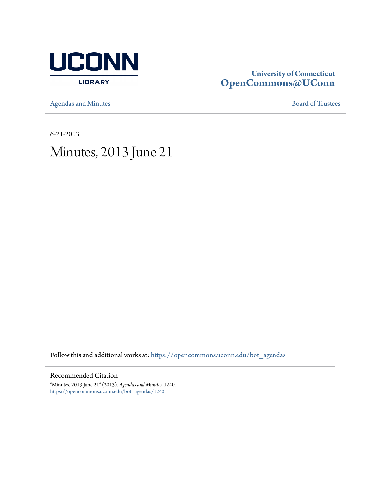

# **University of Connecticut [OpenCommons@UConn](https://opencommons.uconn.edu?utm_source=opencommons.uconn.edu%2Fbot_agendas%2F1240&utm_medium=PDF&utm_campaign=PDFCoverPages)**

[Agendas and Minutes](https://opencommons.uconn.edu/bot_agendas?utm_source=opencommons.uconn.edu%2Fbot_agendas%2F1240&utm_medium=PDF&utm_campaign=PDFCoverPages) **[Board of Trustees](https://opencommons.uconn.edu/bot?utm_source=opencommons.uconn.edu%2Fbot_agendas%2F1240&utm_medium=PDF&utm_campaign=PDFCoverPages)** 

6-21-2013

# Minutes, 2013 June 21

Follow this and additional works at: [https://opencommons.uconn.edu/bot\\_agendas](https://opencommons.uconn.edu/bot_agendas?utm_source=opencommons.uconn.edu%2Fbot_agendas%2F1240&utm_medium=PDF&utm_campaign=PDFCoverPages)

### Recommended Citation

"Minutes, 2013 June 21" (2013). *Agendas and Minutes*. 1240. [https://opencommons.uconn.edu/bot\\_agendas/1240](https://opencommons.uconn.edu/bot_agendas/1240?utm_source=opencommons.uconn.edu%2Fbot_agendas%2F1240&utm_medium=PDF&utm_campaign=PDFCoverPages)